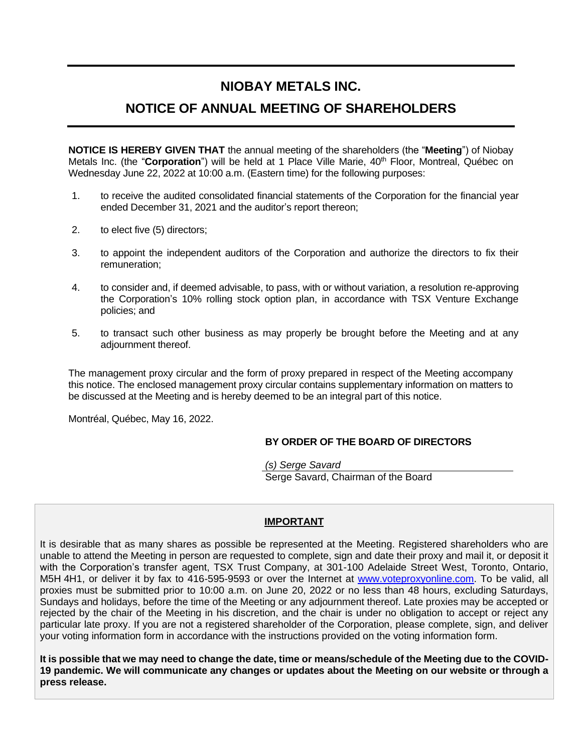# **NIOBAY METALS INC.**

# **NOTICE OF ANNUAL MEETING OF SHAREHOLDERS**

**NOTICE IS HEREBY GIVEN THAT** the annual meeting of the shareholders (the "**Meeting**") of Niobay Metals Inc. (the "Corporation") will be held at 1 Place Ville Marie, 40<sup>th</sup> Floor, Montreal, Québec on Wednesday June 22, 2022 at 10:00 a.m. (Eastern time) for the following purposes:

- 1. to receive the audited consolidated financial statements of the Corporation for the financial year ended December 31, 2021 and the auditor's report thereon;
- 2. to elect five (5) directors;
- 3. to appoint the independent auditors of the Corporation and authorize the directors to fix their remuneration;
- 4. to consider and, if deemed advisable, to pass, with or without variation, a resolution re-approving the Corporation's 10% rolling stock option plan, in accordance with TSX Venture Exchange policies; and
- 5. to transact such other business as may properly be brought before the Meeting and at any adjournment thereof.

The management proxy circular and the form of proxy prepared in respect of the Meeting accompany this notice. The enclosed management proxy circular contains supplementary information on matters to be discussed at the Meeting and is hereby deemed to be an integral part of this notice.

Montréal, Québec, May 16, 2022.

## **BY ORDER OF THE BOARD OF DIRECTORS**

*(s) Serge Savard* Serge Savard, Chairman of the Board

# **IMPORTANT**

It is desirable that as many shares as possible be represented at the Meeting. Registered shareholders who are unable to attend the Meeting in person are requested to complete, sign and date their proxy and mail it, or deposit it with the Corporation's transfer agent, TSX Trust Company, at 301-100 Adelaide Street West, Toronto, Ontario, M5H 4H1, or deliver it by fax to 416-595-9593 or over the Internet at [www.voteproxyonline.com.](http://www.voteproxyonline.com/) To be valid, all proxies must be submitted prior to 10:00 a.m. on June 20, 2022 or no less than 48 hours, excluding Saturdays, Sundays and holidays, before the time of the Meeting or any adjournment thereof. Late proxies may be accepted or rejected by the chair of the Meeting in his discretion, and the chair is under no obligation to accept or reject any particular late proxy. If you are not a registered shareholder of the Corporation, please complete, sign, and deliver your voting information form in accordance with the instructions provided on the voting information form.

**It is possible that we may need to change the date, time or means/schedule of the Meeting due to the COVID-19 pandemic. We will communicate any changes or updates about the Meeting on our website or through a press release.**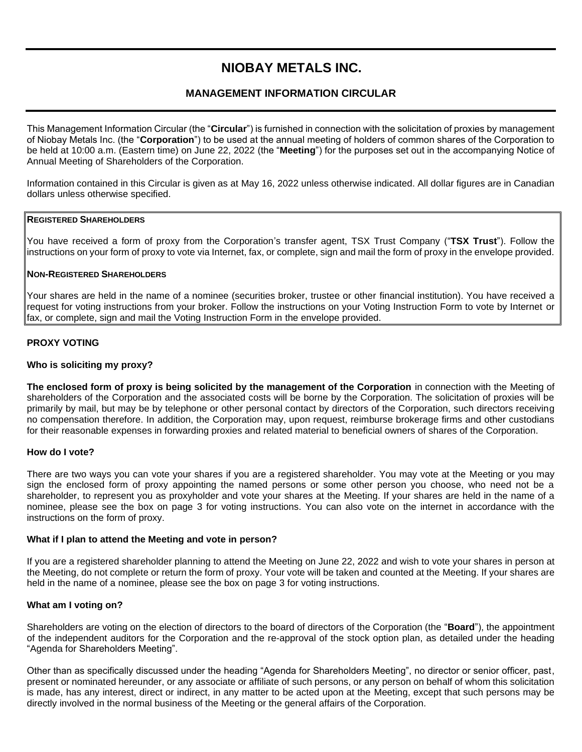# **NIOBAY METALS INC.**

# **MANAGEMENT INFORMATION CIRCULAR**

This Management Information Circular (the "**Circular**") is furnished in connection with the solicitation of proxies by management of Niobay Metals Inc. (the "**Corporation**") to be used at the annual meeting of holders of common shares of the Corporation to be held at 10:00 a.m. (Eastern time) on June 22, 2022 (the "**Meeting**") for the purposes set out in the accompanying Notice of Annual Meeting of Shareholders of the Corporation.

Information contained in this Circular is given as at May 16, 2022 unless otherwise indicated. All dollar figures are in Canadian dollars unless otherwise specified.

## **REGISTERED SHAREHOLDERS**

You have received a form of proxy from the Corporation's transfer agent, TSX Trust Company ("**TSX Trust**"). Follow the instructions on your form of proxy to vote via Internet, fax, or complete, sign and mail the form of proxy in the envelope provided.

#### **NON-REGISTERED SHAREHOLDERS**

Your shares are held in the name of a nominee (securities broker, trustee or other financial institution). You have received a request for voting instructions from your broker. Follow the instructions on your Voting Instruction Form to vote by Internet or fax, or complete, sign and mail the Voting Instruction Form in the envelope provided.

#### **PROXY VOTING**

#### **Who is soliciting my proxy?**

**The enclosed form of proxy is being solicited by the management of the Corporation** in connection with the Meeting of shareholders of the Corporation and the associated costs will be borne by the Corporation. The solicitation of proxies will be primarily by mail, but may be by telephone or other personal contact by directors of the Corporation, such directors receiving no compensation therefore. In addition, the Corporation may, upon request, reimburse brokerage firms and other custodians for their reasonable expenses in forwarding proxies and related material to beneficial owners of shares of the Corporation.

#### **How do I vote?**

There are two ways you can vote your shares if you are a registered shareholder. You may vote at the Meeting or you may sign the enclosed form of proxy appointing the named persons or some other person you choose, who need not be a shareholder, to represent you as proxyholder and vote your shares at the Meeting. If your shares are held in the name of a nominee, please see the box on page 3 for voting instructions. You can also vote on the internet in accordance with the instructions on the form of proxy.

#### **What if I plan to attend the Meeting and vote in person?**

If you are a registered shareholder planning to attend the Meeting on June 22, 2022 and wish to vote your shares in person at the Meeting, do not complete or return the form of proxy. Your vote will be taken and counted at the Meeting. If your shares are held in the name of a nominee, please see the box on page 3 for voting instructions.

#### **What am I voting on?**

Shareholders are voting on the election of directors to the board of directors of the Corporation (the "**Board**"), the appointment of the independent auditors for the Corporation and the re-approval of the stock option plan, as detailed under the heading "Agenda for Shareholders Meeting".

Other than as specifically discussed under the heading "Agenda for Shareholders Meeting", no director or senior officer, past, present or nominated hereunder, or any associate or affiliate of such persons, or any person on behalf of whom this solicitation is made, has any interest, direct or indirect, in any matter to be acted upon at the Meeting, except that such persons may be directly involved in the normal business of the Meeting or the general affairs of the Corporation.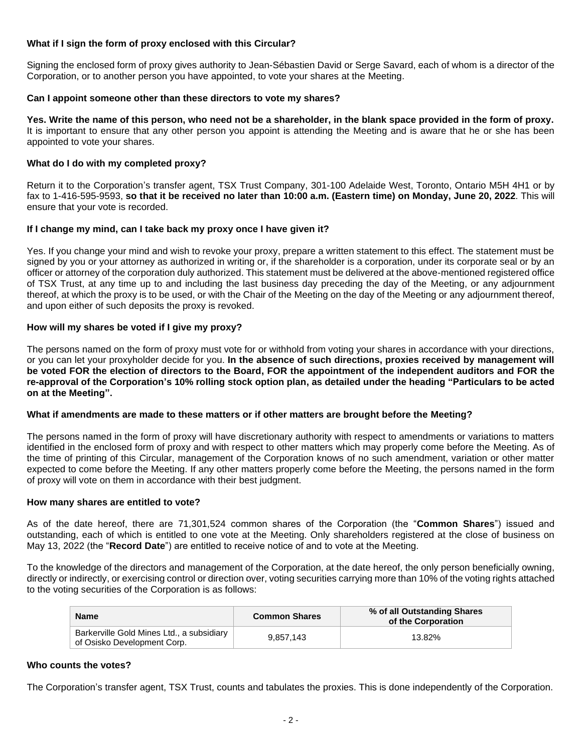## **What if I sign the form of proxy enclosed with this Circular?**

Signing the enclosed form of proxy gives authority to Jean-Sébastien David or Serge Savard, each of whom is a director of the Corporation, or to another person you have appointed, to vote your shares at the Meeting.

## **Can I appoint someone other than these directors to vote my shares?**

**Yes. Write the name of this person, who need not be a shareholder, in the blank space provided in the form of proxy.**  It is important to ensure that any other person you appoint is attending the Meeting and is aware that he or she has been appointed to vote your shares.

## **What do I do with my completed proxy?**

Return it to the Corporation's transfer agent, TSX Trust Company, 301-100 Adelaide West, Toronto, Ontario M5H 4H1 or by fax to 1-416-595-9593, **so that it be received no later than 10:00 a.m. (Eastern time) on Monday, June 20, 2022**. This will ensure that your vote is recorded.

## **If I change my mind, can I take back my proxy once I have given it?**

Yes. If you change your mind and wish to revoke your proxy, prepare a written statement to this effect. The statement must be signed by you or your attorney as authorized in writing or, if the shareholder is a corporation, under its corporate seal or by an officer or attorney of the corporation duly authorized. This statement must be delivered at the above-mentioned registered office of TSX Trust, at any time up to and including the last business day preceding the day of the Meeting, or any adjournment thereof, at which the proxy is to be used, or with the Chair of the Meeting on the day of the Meeting or any adjournment thereof, and upon either of such deposits the proxy is revoked.

## **How will my shares be voted if I give my proxy?**

The persons named on the form of proxy must vote for or withhold from voting your shares in accordance with your directions, or you can let your proxyholder decide for you. **In the absence of such directions, proxies received by management will be voted FOR the election of directors to the Board, FOR the appointment of the independent auditors and FOR the re-approval of the Corporation's 10% rolling stock option plan, as detailed under the heading "Particulars to be acted on at the Meeting".**

#### **What if amendments are made to these matters or if other matters are brought before the Meeting?**

The persons named in the form of proxy will have discretionary authority with respect to amendments or variations to matters identified in the enclosed form of proxy and with respect to other matters which may properly come before the Meeting. As of the time of printing of this Circular, management of the Corporation knows of no such amendment, variation or other matter expected to come before the Meeting. If any other matters properly come before the Meeting, the persons named in the form of proxy will vote on them in accordance with their best judgment.

#### **How many shares are entitled to vote?**

As of the date hereof, there are 71,301,524 common shares of the Corporation (the "**Common Shares**") issued and outstanding, each of which is entitled to one vote at the Meeting. Only shareholders registered at the close of business on May 13, 2022 (the "**Record Date**") are entitled to receive notice of and to vote at the Meeting.

To the knowledge of the directors and management of the Corporation, at the date hereof, the only person beneficially owning, directly or indirectly, or exercising control or direction over, voting securities carrying more than 10% of the voting rights attached to the voting securities of the Corporation is as follows:

| Name                                                                     | <b>Common Shares</b> | % of all Outstanding Shares<br>of the Corporation |
|--------------------------------------------------------------------------|----------------------|---------------------------------------------------|
| Barkerville Gold Mines Ltd., a subsidiary<br>of Osisko Development Corp. | 9.857.143            | 13.82%                                            |

#### **Who counts the votes?**

The Corporation's transfer agent, TSX Trust, counts and tabulates the proxies. This is done independently of the Corporation.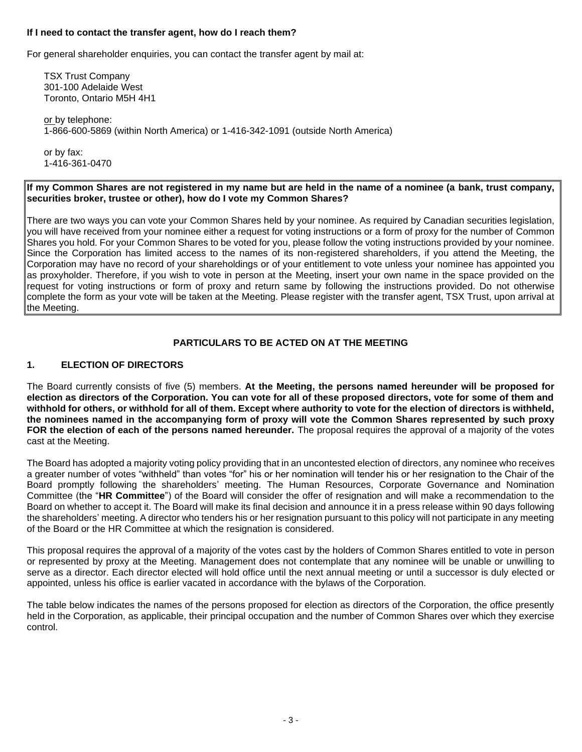#### **If I need to contact the transfer agent, how do I reach them?**

For general shareholder enquiries, you can contact the transfer agent by mail at:

TSX Trust Company 301-100 Adelaide West Toronto, Ontario M5H 4H1

or by telephone: 1-866-600-5869 (within North America) or 1-416-342-1091 (outside North America)

or by fax: 1-416-361-0470

#### **If my Common Shares are not registered in my name but are held in the name of a nominee (a bank, trust company, securities broker, trustee or other), how do I vote my Common Shares?**

There are two ways you can vote your Common Shares held by your nominee. As required by Canadian securities legislation, you will have received from your nominee either a request for voting instructions or a form of proxy for the number of Common Shares you hold. For your Common Shares to be voted for you, please follow the voting instructions provided by your nominee. Since the Corporation has limited access to the names of its non-registered shareholders, if you attend the Meeting, the Corporation may have no record of your shareholdings or of your entitlement to vote unless your nominee has appointed you as proxyholder. Therefore, if you wish to vote in person at the Meeting, insert your own name in the space provided on the request for voting instructions or form of proxy and return same by following the instructions provided. Do not otherwise complete the form as your vote will be taken at the Meeting. Please register with the transfer agent, TSX Trust, upon arrival at the Meeting.

# **PARTICULARS TO BE ACTED ON AT THE MEETING**

## **1. ELECTION OF DIRECTORS**

The Board currently consists of five (5) members. **At the Meeting, the persons named hereunder will be proposed for election as directors of the Corporation. You can vote for all of these proposed directors, vote for some of them and withhold for others, or withhold for all of them. Except where authority to vote for the election of directors is withheld, the nominees named in the accompanying form of proxy will vote the Common Shares represented by such proxy FOR the election of each of the persons named hereunder.** The proposal requires the approval of a majority of the votes cast at the Meeting.

The Board has adopted a majority voting policy providing that in an uncontested election of directors, any nominee who receives a greater number of votes "withheld" than votes "for" his or her nomination will tender his or her resignation to the Chair of the Board promptly following the shareholders' meeting. The Human Resources, Corporate Governance and Nomination Committee (the "**HR Committee**") of the Board will consider the offer of resignation and will make a recommendation to the Board on whether to accept it. The Board will make its final decision and announce it in a press release within 90 days following the shareholders' meeting. A director who tenders his or her resignation pursuant to this policy will not participate in any meeting of the Board or the HR Committee at which the resignation is considered.

This proposal requires the approval of a majority of the votes cast by the holders of Common Shares entitled to vote in person or represented by proxy at the Meeting. Management does not contemplate that any nominee will be unable or unwilling to serve as a director. Each director elected will hold office until the next annual meeting or until a successor is duly elected or appointed, unless his office is earlier vacated in accordance with the bylaws of the Corporation.

The table below indicates the names of the persons proposed for election as directors of the Corporation, the office presently held in the Corporation, as applicable, their principal occupation and the number of Common Shares over which they exercise control.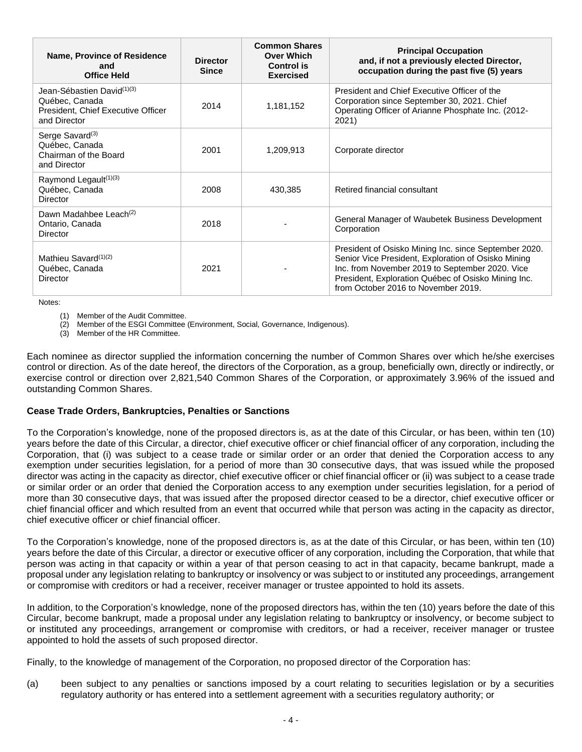| Name, Province of Residence<br>and<br><b>Office Held</b>                                           | <b>Director</b><br><b>Since</b> | <b>Common Shares</b><br><b>Over Which</b><br><b>Control is</b><br><b>Exercised</b> | <b>Principal Occupation</b><br>and, if not a previously elected Director,<br>occupation during the past five (5) years                                                                                                                                        |
|----------------------------------------------------------------------------------------------------|---------------------------------|------------------------------------------------------------------------------------|---------------------------------------------------------------------------------------------------------------------------------------------------------------------------------------------------------------------------------------------------------------|
| Jean-Sébastien David(1)(3)<br>Québec, Canada<br>President, Chief Executive Officer<br>and Director | 2014                            | 1,181,152                                                                          | President and Chief Executive Officer of the<br>Corporation since September 30, 2021. Chief<br>Operating Officer of Arianne Phosphate Inc. (2012-<br>2021)                                                                                                    |
| Serge Savard <sup>(3)</sup><br>Québec, Canada<br>Chairman of the Board<br>and Director             | 2001                            | 1,209,913                                                                          | Corporate director                                                                                                                                                                                                                                            |
| Raymond Legault <sup>(1)(3)</sup><br>Québec, Canada<br><b>Director</b>                             | 2008                            | 430,385                                                                            | Retired financial consultant                                                                                                                                                                                                                                  |
| Dawn Madahbee Leach <sup>(2)</sup><br>Ontario, Canada<br>Director                                  | 2018                            |                                                                                    | General Manager of Waubetek Business Development<br>Corporation                                                                                                                                                                                               |
| Mathieu Savard <sup>(1)(2)</sup><br>Québec, Canada<br>Director                                     | 2021                            |                                                                                    | President of Osisko Mining Inc. since September 2020.<br>Senior Vice President, Exploration of Osisko Mining<br>Inc. from November 2019 to September 2020. Vice<br>President, Exploration Québec of Osisko Mining Inc.<br>from October 2016 to November 2019. |

Notes:

(1) Member of the Audit Committee.

(2) Member of the ESGI Committee (Environment, Social, Governance, Indigenous).

(3) Member of the HR Committee.

Each nominee as director supplied the information concerning the number of Common Shares over which he/she exercises control or direction. As of the date hereof, the directors of the Corporation, as a group, beneficially own, directly or indirectly, or exercise control or direction over 2,821,540 Common Shares of the Corporation, or approximately 3.96% of the issued and outstanding Common Shares.

#### **Cease Trade Orders, Bankruptcies, Penalties or Sanctions**

To the Corporation's knowledge, none of the proposed directors is, as at the date of this Circular, or has been, within ten (10) years before the date of this Circular, a director, chief executive officer or chief financial officer of any corporation, including the Corporation, that (i) was subject to a cease trade or similar order or an order that denied the Corporation access to any exemption under securities legislation, for a period of more than 30 consecutive days, that was issued while the proposed director was acting in the capacity as director, chief executive officer or chief financial officer or (ii) was subject to a cease trade or similar order or an order that denied the Corporation access to any exemption under securities legislation, for a period of more than 30 consecutive days, that was issued after the proposed director ceased to be a director, chief executive officer or chief financial officer and which resulted from an event that occurred while that person was acting in the capacity as director, chief executive officer or chief financial officer.

To the Corporation's knowledge, none of the proposed directors is, as at the date of this Circular, or has been, within ten (10) years before the date of this Circular, a director or executive officer of any corporation, including the Corporation, that while that person was acting in that capacity or within a year of that person ceasing to act in that capacity, became bankrupt, made a proposal under any legislation relating to bankruptcy or insolvency or was subject to or instituted any proceedings, arrangement or compromise with creditors or had a receiver, receiver manager or trustee appointed to hold its assets.

In addition, to the Corporation's knowledge, none of the proposed directors has, within the ten (10) years before the date of this Circular, become bankrupt, made a proposal under any legislation relating to bankruptcy or insolvency, or become subject to or instituted any proceedings, arrangement or compromise with creditors, or had a receiver, receiver manager or trustee appointed to hold the assets of such proposed director.

Finally, to the knowledge of management of the Corporation, no proposed director of the Corporation has:

(a) been subject to any penalties or sanctions imposed by a court relating to securities legislation or by a securities regulatory authority or has entered into a settlement agreement with a securities regulatory authority; or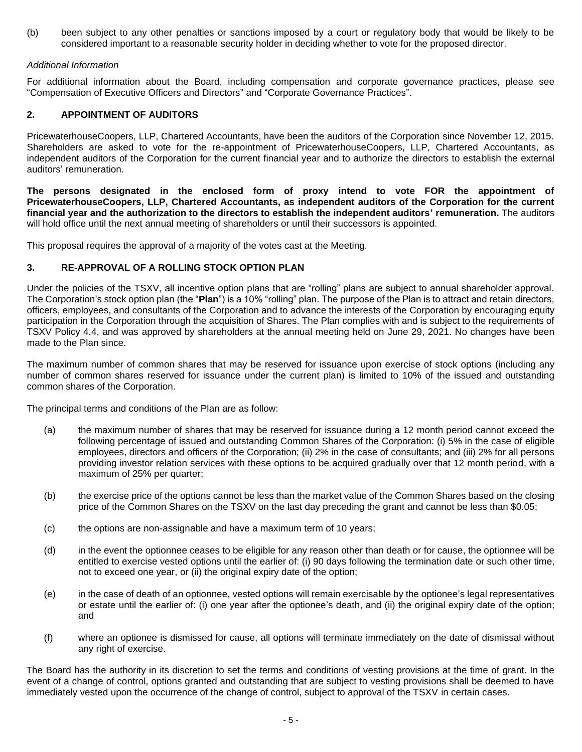(b) been subject to any other penalties or sanctions imposed by a court or regulatory body that would be likely to be considered important to a reasonable security holder in deciding whether to vote for the proposed director.

## *Additional Information*

For additional information about the Board, including compensation and corporate governance practices, please see "Compensation of Executive Officers and Directors" and "Corporate Governance Practices".

## **2. APPOINTMENT OF AUDITORS**

PricewaterhouseCoopers, LLP, Chartered Accountants, have been the auditors of the Corporation since November 12, 2015. Shareholders are asked to vote for the re-appointment of PricewaterhouseCoopers, LLP, Chartered Accountants, as independent auditors of the Corporation for the current financial year and to authorize the directors to establish the external auditors' remuneration.

**The persons designated in the enclosed form of proxy intend to vote FOR the appointment of PricewaterhouseCoopers, LLP, Chartered Accountants, as independent auditors of the Corporation for the current financial year and the authorization to the directors to establish the independent auditors' remuneration.** The auditors will hold office until the next annual meeting of shareholders or until their successors is appointed.

This proposal requires the approval of a majority of the votes cast at the Meeting.

## **3. RE-APPROVAL OF A ROLLING STOCK OPTION PLAN**

Under the policies of the TSXV, all incentive option plans that are "rolling" plans are subject to annual shareholder approval. The Corporation's stock option plan (the "**Plan**") is a 10% "rolling" plan. The purpose of the Plan is to attract and retain directors, officers, employees, and consultants of the Corporation and to advance the interests of the Corporation by encouraging equity participation in the Corporation through the acquisition of Shares. The Plan complies with and is subject to the requirements of TSXV Policy 4.4, and was approved by shareholders at the annual meeting held on June 29, 2021. No changes have been made to the Plan since.

The maximum number of common shares that may be reserved for issuance upon exercise of stock options (including any number of common shares reserved for issuance under the current plan) is limited to 10% of the issued and outstanding common shares of the Corporation.

The principal terms and conditions of the Plan are as follow:

- (a) the maximum number of shares that may be reserved for issuance during a 12 month period cannot exceed the following percentage of issued and outstanding Common Shares of the Corporation: (i) 5% in the case of eligible employees, directors and officers of the Corporation; (ii) 2% in the case of consultants; and (iii) 2% for all persons providing investor relation services with these options to be acquired gradually over that 12 month period, with a maximum of 25% per quarter;
- (b) the exercise price of the options cannot be less than the market value of the Common Shares based on the closing price of the Common Shares on the TSXV on the last day preceding the grant and cannot be less than \$0.05;
- (c) the options are non-assignable and have a maximum term of 10 years;
- (d) in the event the optionnee ceases to be eligible for any reason other than death or for cause, the optionnee will be entitled to exercise vested options until the earlier of: (i) 90 days following the termination date or such other time, not to exceed one year, or (ii) the original expiry date of the option;
- (e) in the case of death of an optionnee, vested options will remain exercisable by the optionee's legal representatives or estate until the earlier of: (i) one year after the optionee's death, and (ii) the original expiry date of the option; and
- (f) where an optionee is dismissed for cause, all options will terminate immediately on the date of dismissal without any right of exercise.

The Board has the authority in its discretion to set the terms and conditions of vesting provisions at the time of grant. In the event of a change of control, options granted and outstanding that are subject to vesting provisions shall be deemed to have immediately vested upon the occurrence of the change of control, subject to approval of the TSXV in certain cases.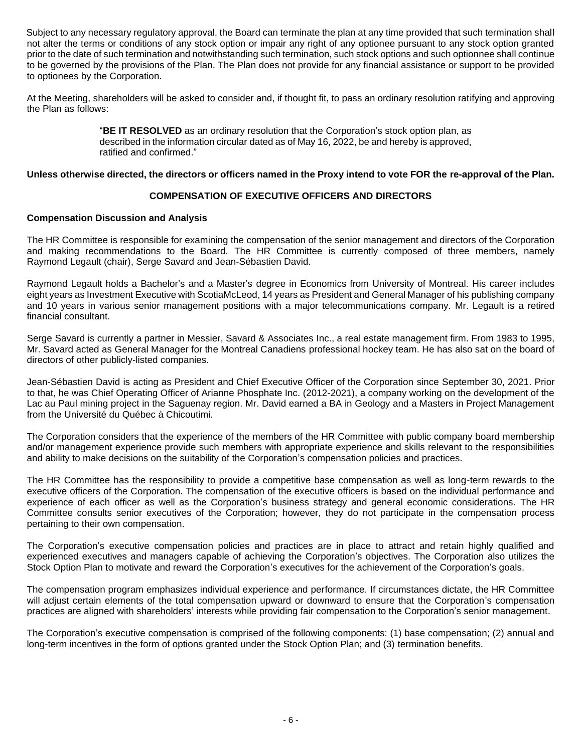Subject to any necessary regulatory approval, the Board can terminate the plan at any time provided that such termination shall not alter the terms or conditions of any stock option or impair any right of any optionee pursuant to any stock option granted prior to the date of such termination and notwithstanding such termination, such stock options and such optionnee shall continue to be governed by the provisions of the Plan. The Plan does not provide for any financial assistance or support to be provided to optionees by the Corporation.

At the Meeting, shareholders will be asked to consider and, if thought fit, to pass an ordinary resolution ratifying and approving the Plan as follows:

> "**BE IT RESOLVED** as an ordinary resolution that the Corporation's stock option plan, as described in the information circular dated as of May 16, 2022, be and hereby is approved, ratified and confirmed."

#### **Unless otherwise directed, the directors or officers named in the Proxy intend to vote FOR the re-approval of the Plan.**

## **COMPENSATION OF EXECUTIVE OFFICERS AND DIRECTORS**

## **Compensation Discussion and Analysis**

The HR Committee is responsible for examining the compensation of the senior management and directors of the Corporation and making recommendations to the Board. The HR Committee is currently composed of three members, namely Raymond Legault (chair), Serge Savard and Jean-Sébastien David.

Raymond Legault holds a Bachelor's and a Master's degree in Economics from University of Montreal. His career includes eight years as Investment Executive with ScotiaMcLeod, 14 years as President and General Manager of his publishing company and 10 years in various senior management positions with a major telecommunications company. Mr. Legault is a retired financial consultant.

Serge Savard is currently a partner in Messier, Savard & Associates Inc., a real estate management firm. From 1983 to 1995, Mr. Savard acted as General Manager for the Montreal Canadiens professional hockey team. He has also sat on the board of directors of other publicly-listed companies.

Jean-Sébastien David is acting as President and Chief Executive Officer of the Corporation since September 30, 2021. Prior to that, he was Chief Operating Officer of Arianne Phosphate Inc. (2012-2021), a company working on the development of the Lac au Paul mining project in the Saguenay region. Mr. David earned a BA in Geology and a Masters in Project Management from the Université du Québec à Chicoutimi.

The Corporation considers that the experience of the members of the HR Committee with public company board membership and/or management experience provide such members with appropriate experience and skills relevant to the responsibilities and ability to make decisions on the suitability of the Corporation's compensation policies and practices.

The HR Committee has the responsibility to provide a competitive base compensation as well as long-term rewards to the executive officers of the Corporation. The compensation of the executive officers is based on the individual performance and experience of each officer as well as the Corporation's business strategy and general economic considerations. The HR Committee consults senior executives of the Corporation; however, they do not participate in the compensation process pertaining to their own compensation.

The Corporation's executive compensation policies and practices are in place to attract and retain highly qualified and experienced executives and managers capable of achieving the Corporation's objectives. The Corporation also utilizes the Stock Option Plan to motivate and reward the Corporation's executives for the achievement of the Corporation's goals.

The compensation program emphasizes individual experience and performance. If circumstances dictate, the HR Committee will adjust certain elements of the total compensation upward or downward to ensure that the Corporation's compensation practices are aligned with shareholders' interests while providing fair compensation to the Corporation's senior management.

The Corporation's executive compensation is comprised of the following components: (1) base compensation; (2) annual and long-term incentives in the form of options granted under the Stock Option Plan; and (3) termination benefits.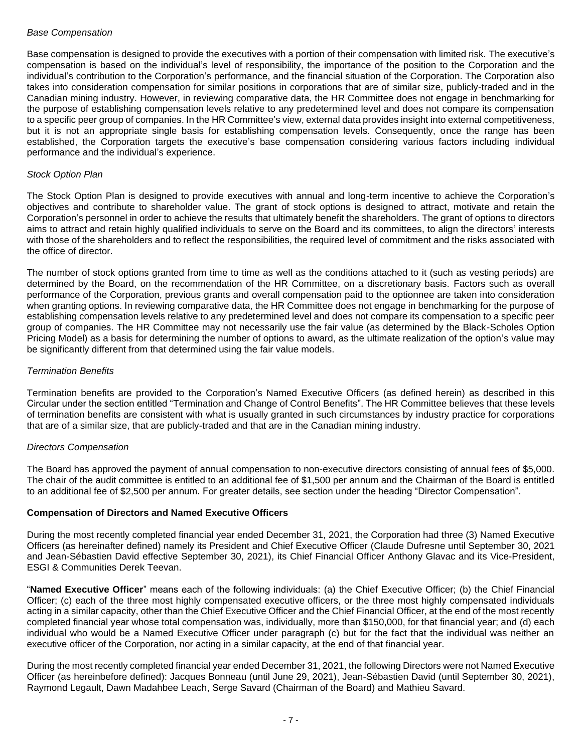#### *Base Compensation*

Base compensation is designed to provide the executives with a portion of their compensation with limited risk. The executive's compensation is based on the individual's level of responsibility, the importance of the position to the Corporation and the individual's contribution to the Corporation's performance, and the financial situation of the Corporation. The Corporation also takes into consideration compensation for similar positions in corporations that are of similar size, publicly-traded and in the Canadian mining industry. However, in reviewing comparative data, the HR Committee does not engage in benchmarking for the purpose of establishing compensation levels relative to any predetermined level and does not compare its compensation to a specific peer group of companies. In the HR Committee's view, external data provides insight into external competitiveness, but it is not an appropriate single basis for establishing compensation levels. Consequently, once the range has been established, the Corporation targets the executive's base compensation considering various factors including individual performance and the individual's experience.

## *Stock Option Plan*

The Stock Option Plan is designed to provide executives with annual and long-term incentive to achieve the Corporation's objectives and contribute to shareholder value. The grant of stock options is designed to attract, motivate and retain the Corporation's personnel in order to achieve the results that ultimately benefit the shareholders. The grant of options to directors aims to attract and retain highly qualified individuals to serve on the Board and its committees, to align the directors' interests with those of the shareholders and to reflect the responsibilities, the required level of commitment and the risks associated with the office of director.

The number of stock options granted from time to time as well as the conditions attached to it (such as vesting periods) are determined by the Board, on the recommendation of the HR Committee, on a discretionary basis. Factors such as overall performance of the Corporation, previous grants and overall compensation paid to the optionnee are taken into consideration when granting options. In reviewing comparative data, the HR Committee does not engage in benchmarking for the purpose of establishing compensation levels relative to any predetermined level and does not compare its compensation to a specific peer group of companies. The HR Committee may not necessarily use the fair value (as determined by the Black-Scholes Option Pricing Model) as a basis for determining the number of options to award, as the ultimate realization of the option's value may be significantly different from that determined using the fair value models.

## *Termination Benefits*

Termination benefits are provided to the Corporation's Named Executive Officers (as defined herein) as described in this Circular under the section entitled "Termination and Change of Control Benefits". The HR Committee believes that these levels of termination benefits are consistent with what is usually granted in such circumstances by industry practice for corporations that are of a similar size, that are publicly-traded and that are in the Canadian mining industry.

#### *Directors Compensation*

The Board has approved the payment of annual compensation to non-executive directors consisting of annual fees of \$5,000. The chair of the audit committee is entitled to an additional fee of \$1,500 per annum and the Chairman of the Board is entitled to an additional fee of \$2,500 per annum. For greater details, see section under the heading "Director Compensation".

## **Compensation of Directors and Named Executive Officers**

During the most recently completed financial year ended December 31, 2021, the Corporation had three (3) Named Executive Officers (as hereinafter defined) namely its President and Chief Executive Officer (Claude Dufresne until September 30, 2021 and Jean-Sébastien David effective September 30, 2021), its Chief Financial Officer Anthony Glavac and its Vice-President, ESGI & Communities Derek Teevan.

"**Named Executive Officer**" means each of the following individuals: (a) the Chief Executive Officer; (b) the Chief Financial Officer; (c) each of the three most highly compensated executive officers, or the three most highly compensated individuals acting in a similar capacity, other than the Chief Executive Officer and the Chief Financial Officer, at the end of the most recently completed financial year whose total compensation was, individually, more than \$150,000, for that financial year; and (d) each individual who would be a Named Executive Officer under paragraph (c) but for the fact that the individual was neither an executive officer of the Corporation, nor acting in a similar capacity, at the end of that financial year.

During the most recently completed financial year ended December 31, 2021, the following Directors were not Named Executive Officer (as hereinbefore defined): Jacques Bonneau (until June 29, 2021), Jean-Sébastien David (until September 30, 2021), Raymond Legault, Dawn Madahbee Leach, Serge Savard (Chairman of the Board) and Mathieu Savard.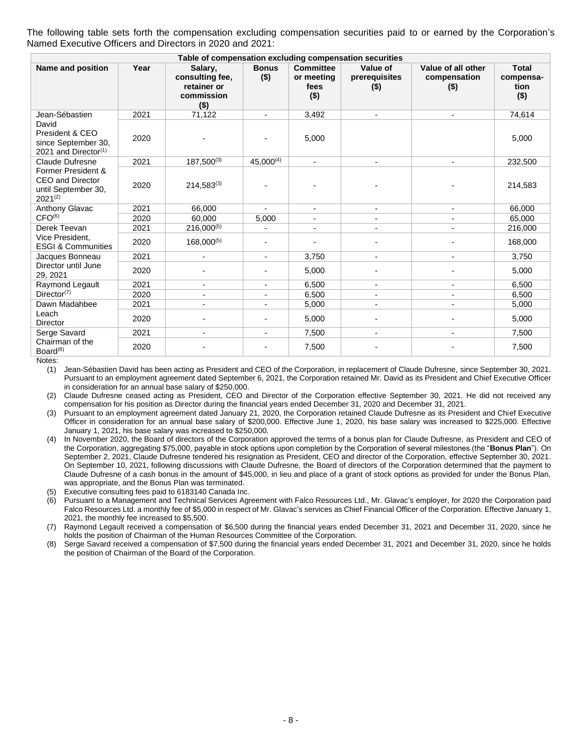The following table sets forth the compensation excluding compensation securities paid to or earned by the Corporation's Named Executive Officers and Directors in 2020 and 2021:

| Table of compensation excluding compensation securities                       |      |                                                                    |                          |                                                   |                                      |                                               |                                              |
|-------------------------------------------------------------------------------|------|--------------------------------------------------------------------|--------------------------|---------------------------------------------------|--------------------------------------|-----------------------------------------------|----------------------------------------------|
| Name and position                                                             | Year | Salary,<br>consulting fee,<br>retainer or<br>commission<br>$($ \$) | <b>Bonus</b><br>$($ \$)  | <b>Committee</b><br>or meeting<br>fees<br>$($ \$) | Value of<br>prerequisites<br>$($ \$) | Value of all other<br>compensation<br>$($ \$) | <b>Total</b><br>compensa-<br>tion<br>$($ \$) |
| Jean-Sébastien                                                                | 2021 | 71,122                                                             | ۰.                       | 3,492                                             | $\overline{\phantom{a}}$             | $\blacksquare$                                | 74,614                                       |
| David<br>President & CEO<br>since September 30.<br>2021 and Director $(1)$    | 2020 |                                                                    |                          | 5,000                                             |                                      |                                               | 5,000                                        |
| <b>Claude Dufresne</b>                                                        | 2021 | $187,500^{(3)}$                                                    | $45,000^{(4)}$           |                                                   |                                      |                                               | 232,500                                      |
| Former President &<br>CEO and Director<br>until September 30,<br>$2021^{(2)}$ | 2020 | $214,583^{(3)}$                                                    |                          |                                                   |                                      |                                               | 214,583                                      |
| <b>Anthony Glavac</b>                                                         | 2021 | 66,000                                                             | $\blacksquare$           | $\sim$                                            | $\overline{\phantom{a}}$             | Ξ.                                            | 66,000                                       |
| CFO <sup>(6)</sup>                                                            | 2020 | 60.000                                                             | 5,000                    |                                                   |                                      |                                               | 65,000                                       |
| Derek Teevan                                                                  | 2021 | $216,000^{(5)}$                                                    | $\overline{\phantom{m}}$ | $\overline{\phantom{0}}$                          |                                      |                                               | 216,000                                      |
| Vice President.<br><b>ESGI &amp; Communities</b>                              | 2020 | 168,000(5)                                                         |                          |                                                   |                                      |                                               | 168,000                                      |
| Jacques Bonneau                                                               | 2021 |                                                                    |                          | 3,750                                             |                                      | $\overline{\phantom{0}}$                      | 3,750                                        |
| Director until June<br>29, 2021                                               | 2020 |                                                                    |                          | 5,000                                             |                                      |                                               | 5,000                                        |
| Raymond Legault                                                               | 2021 |                                                                    | $\overline{\phantom{a}}$ | 6.500                                             |                                      | ٠                                             | 6,500                                        |
| Director <sup>(7)</sup>                                                       | 2020 |                                                                    |                          | 6,500                                             |                                      |                                               | 6,500                                        |
| Dawn Madahbee                                                                 | 2021 |                                                                    |                          | 5,000                                             |                                      |                                               | 5,000                                        |
| Leach<br><b>Director</b>                                                      | 2020 |                                                                    | $\blacksquare$           | 5,000                                             |                                      |                                               | 5,000                                        |
| Serge Savard                                                                  | 2021 |                                                                    |                          | 7,500                                             |                                      |                                               | 7,500                                        |
| Chairman of the<br>Board <sup>(8)</sup>                                       | 2020 |                                                                    |                          | 7,500                                             |                                      |                                               | 7,500                                        |

Notes:

(1) Jean-Sébastien David has been acting as President and CEO of the Corporation, in replacement of Claude Dufresne, since September 30, 2021. Pursuant to an employment agreement dated September 6, 2021, the Corporation retained Mr. David as its President and Chief Executive Officer in consideration for an annual base salary of \$250,000.

(2) Claude Dufresne ceased acting as President, CEO and Director of the Corporation effective September 30, 2021. He did not received any compensation for his position as Director during the financial years ended December 31, 2020 and December 31, 2021.

(3) Pursuant to an employment agreement dated January 21, 2020, the Corporation retained Claude Dufresne as its President and Chief Executive Officer in consideration for an annual base salary of \$200,000. Effective June 1, 2020, his base salary was increased to \$225,000. Effective January 1, 2021, his base salary was increased to \$250,000.

(4) In November 2020, the Board of directors of the Corporation approved the terms of a bonus plan for Claude Dufresne, as President and CEO of the Corporation, aggregating \$75,000, payable in stock options upon completion by the Corporation of several milestones (the "**Bonus Plan**"). On September 2, 2021, Claude Dufresne tendered his resignation as President, CEO and director of the Corporation, effective September 30, 2021. On September 10, 2021, following discussions with Claude Dufresne, the Board of directors of the Corporation determined that the payment to Claude Dufresne of a cash bonus in the amount of \$45,000, in lieu and place of a grant of stock options as provided for under the Bonus Plan, was appropriate, and the Bonus Plan was terminated.

(5) Executive consulting fees paid to 6183140 Canada Inc.

(6) Pursuant to a Management and Technical Services Agreement with Falco Resources Ltd., Mr. Glavac's employer, for 2020 the Corporation paid Falco Resources Ltd. a monthly fee of \$5,000 in respect of Mr. Glavac's services as Chief Financial Officer of the Corporation. Effective January 1, 2021, the monthly fee increased to \$5,500.

(7) Raymond Legault received a compensation of \$6,500 during the financial years ended December 31, 2021 and December 31, 2020, since he holds the position of Chairman of the Human Resources Committee of the Corporation.

(8) Serge Savard received a compensation of \$7,500 during the financial years ended December 31, 2021 and December 31, 2020, since he holds the position of Chairman of the Board of the Corporation.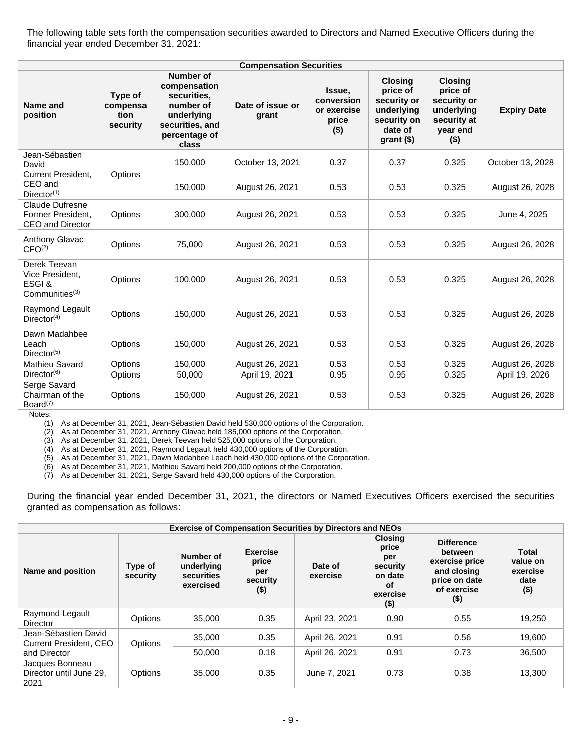The following table sets forth the compensation securities awarded to Directors and Named Executive Officers during the financial year ended December 31, 2021:

| <b>Compensation Securities</b>                                          |                                         |                                                                                                                         |                           |                                                         |                                                                                                   |                                                                                               |                    |
|-------------------------------------------------------------------------|-----------------------------------------|-------------------------------------------------------------------------------------------------------------------------|---------------------------|---------------------------------------------------------|---------------------------------------------------------------------------------------------------|-----------------------------------------------------------------------------------------------|--------------------|
| Name and<br>position                                                    | Type of<br>compensa<br>tion<br>security | <b>Number of</b><br>compensation<br>securities.<br>number of<br>underlying<br>securities, and<br>percentage of<br>class | Date of issue or<br>grant | Issue,<br>conversion<br>or exercise<br>price<br>$($ \$) | <b>Closing</b><br>price of<br>security or<br>underlying<br>security on<br>date of<br>$grant$ (\$) | <b>Closing</b><br>price of<br>security or<br>underlying<br>security at<br>year end<br>$($ \$) | <b>Expiry Date</b> |
| Jean-Sébastien<br>David<br><b>Current President.</b>                    | Options                                 | 150,000                                                                                                                 | October 13, 2021          | 0.37                                                    | 0.37                                                                                              | 0.325                                                                                         | October 13, 2028   |
| CEO and<br>Director <sup>(1)</sup>                                      |                                         | 150,000                                                                                                                 | August 26, 2021           | 0.53                                                    | 0.53                                                                                              | 0.325                                                                                         | August 26, 2028    |
| <b>Claude Dufresne</b><br>Former President.<br>CEO and Director         | Options                                 | 300,000                                                                                                                 | August 26, 2021           | 0.53                                                    | 0.53                                                                                              | 0.325                                                                                         | June 4, 2025       |
| Anthony Glavac<br>CFO <sup>(2)</sup>                                    | Options                                 | 75,000                                                                                                                  | August 26, 2021           | 0.53                                                    | 0.53                                                                                              | 0.325                                                                                         | August 26, 2028    |
| Derek Teevan<br>Vice President,<br>ESGI&<br>Commonuities <sup>(3)</sup> | Options                                 | 100,000                                                                                                                 | August 26, 2021           | 0.53                                                    | 0.53                                                                                              | 0.325                                                                                         | August 26, 2028    |
| Raymond Legault<br>Director <sup>(4)</sup>                              | Options                                 | 150,000                                                                                                                 | August 26, 2021           | 0.53                                                    | 0.53                                                                                              | 0.325                                                                                         | August 26, 2028    |
| Dawn Madahbee<br>Leach<br>Director <sup>(5)</sup>                       | Options                                 | 150,000                                                                                                                 | August 26, 2021           | 0.53                                                    | 0.53                                                                                              | 0.325                                                                                         | August 26, 2028    |
| Mathieu Savard                                                          | Options                                 | 150,000                                                                                                                 | August 26, 2021           | 0.53                                                    | 0.53                                                                                              | 0.325                                                                                         | August 26, 2028    |
| Director <sup>(6)</sup>                                                 | Options                                 | 50,000                                                                                                                  | April 19, 2021            | 0.95                                                    | 0.95                                                                                              | 0.325                                                                                         | April 19, 2026     |
| Serge Savard<br>Chairman of the<br>Board <sup>(7)</sup>                 | Options                                 | 150,000                                                                                                                 | August 26, 2021           | 0.53                                                    | 0.53                                                                                              | 0.325                                                                                         | August 26, 2028    |

Notes:

(1) As at December 31, 2021, Jean-Sébastien David held 530,000 options of the Corporation.

(2) As at December 31, 2021, Anthony Glavac held 185,000 options of the Corporation.

(3) As at December 31, 2021, Derek Teevan held 525,000 options of the Corporation.

(4) As at December 31, 2021, Raymond Legault held 430,000 options of the Corporation.

(5) As at December 31, 2021, Dawn Madahbee Leach held 430,000 options of the Corporation.

(6) As at December 31, 2021, Mathieu Savard held 200,000 options of the Corporation.

(7) As at December 31, 2021, Serge Savard held 430,000 options of the Corporation.

During the financial year ended December 31, 2021, the directors or Named Executives Officers exercised the securities granted as compensation as follows:

|                                                       |                     |                                                    |                                                       | <b>Exercise of Compensation Securities by Directors and NEOs</b> |                                                                                    |                                                                                                          |                                                  |
|-------------------------------------------------------|---------------------|----------------------------------------------------|-------------------------------------------------------|------------------------------------------------------------------|------------------------------------------------------------------------------------|----------------------------------------------------------------------------------------------------------|--------------------------------------------------|
| Name and position                                     | Type of<br>security | Number of<br>underlying<br>securities<br>exercised | <b>Exercise</b><br>price<br>per<br>security<br>$($ \$ | Date of<br>exercise                                              | <b>Closing</b><br>price<br>per<br>security<br>on date<br>оf<br>exercise<br>$($ \$) | <b>Difference</b><br>between<br>exercise price<br>and closing<br>price on date<br>of exercise<br>$($ \$) | Total<br>value on<br>exercise<br>date<br>$($ \$) |
| Raymond Legault<br>Director                           | <b>Options</b>      | 35,000                                             | 0.35                                                  | April 23, 2021                                                   | 0.90                                                                               | 0.55                                                                                                     | 19,250                                           |
| Jean-Sébastien David<br><b>Current President, CEO</b> | Options             | 35,000                                             | 0.35                                                  | April 26, 2021                                                   | 0.91                                                                               | 0.56                                                                                                     | 19.600                                           |
| and Director                                          |                     | 50.000                                             | 0.18                                                  | April 26, 2021                                                   | 0.91                                                                               | 0.73                                                                                                     | 36.500                                           |
| Jacques Bonneau<br>Director until June 29.<br>2021    | Options             | 35,000                                             | 0.35                                                  | June 7, 2021                                                     | 0.73                                                                               | 0.38                                                                                                     | 13.300                                           |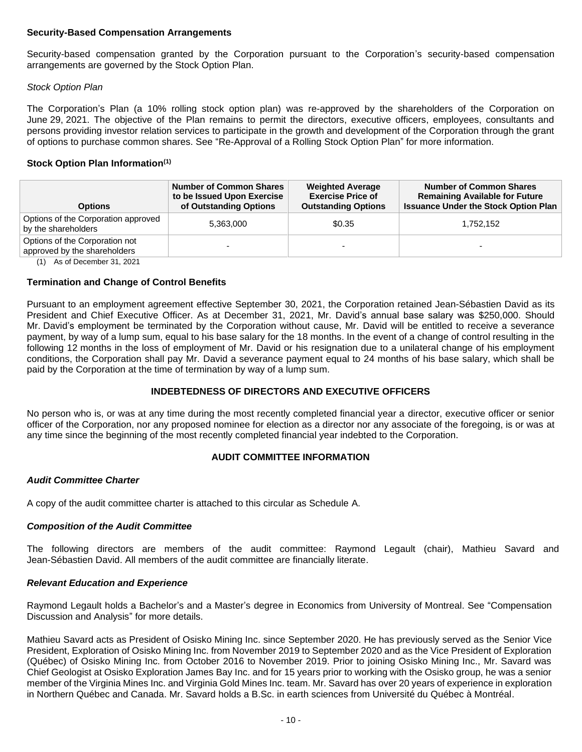#### **Security-Based Compensation Arrangements**

Security-based compensation granted by the Corporation pursuant to the Corporation's security-based compensation arrangements are governed by the Stock Option Plan.

## *Stock Option Plan*

The Corporation's Plan (a 10% rolling stock option plan) was re-approved by the shareholders of the Corporation on June 29, 2021. The objective of the Plan remains to permit the directors, executive officers, employees, consultants and persons providing investor relation services to participate in the growth and development of the Corporation through the grant of options to purchase common shares. See "Re-Approval of a Rolling Stock Option Plan" for more information.

## **Stock Option Plan Information(1)**

| <b>Options</b>                                                                                    | <b>Number of Common Shares</b><br>to be Issued Upon Exercise<br>of Outstanding Options | <b>Weighted Average</b><br><b>Exercise Price of</b><br><b>Outstanding Options</b> | <b>Number of Common Shares</b><br><b>Remaining Available for Future</b><br><b>Issuance Under the Stock Option Plan</b> |
|---------------------------------------------------------------------------------------------------|----------------------------------------------------------------------------------------|-----------------------------------------------------------------------------------|------------------------------------------------------------------------------------------------------------------------|
| Options of the Corporation approved<br>by the shareholders                                        | 5,363,000                                                                              | \$0.35                                                                            | 1,752,152                                                                                                              |
| Options of the Corporation not<br>approved by the shareholders<br>$(4)$ $A = 4$ December 04, 0004 |                                                                                        | -                                                                                 | -                                                                                                                      |

(1) As of December 31, 2021

## **Termination and Change of Control Benefits**

Pursuant to an employment agreement effective September 30, 2021, the Corporation retained Jean-Sébastien David as its President and Chief Executive Officer. As at December 31, 2021, Mr. David's annual base salary was \$250,000. Should Mr. David's employment be terminated by the Corporation without cause, Mr. David will be entitled to receive a severance payment, by way of a lump sum, equal to his base salary for the 18 months. In the event of a change of control resulting in the following 12 months in the loss of employment of Mr. David or his resignation due to a unilateral change of his employment conditions, the Corporation shall pay Mr. David a severance payment equal to 24 months of his base salary, which shall be paid by the Corporation at the time of termination by way of a lump sum.

## **INDEBTEDNESS OF DIRECTORS AND EXECUTIVE OFFICERS**

No person who is, or was at any time during the most recently completed financial year a director, executive officer or senior officer of the Corporation, nor any proposed nominee for election as a director nor any associate of the foregoing, is or was at any time since the beginning of the most recently completed financial year indebted to the Corporation.

## **AUDIT COMMITTEE INFORMATION**

#### *Audit Committee Charter*

A copy of the audit committee charter is attached to this circular as Schedule A.

# *Composition of the Audit Committee*

The following directors are members of the audit committee: Raymond Legault (chair), Mathieu Savard and Jean-Sébastien David. All members of the audit committee are financially literate.

# *Relevant Education and Experience*

Raymond Legault holds a Bachelor's and a Master's degree in Economics from University of Montreal. See "Compensation Discussion and Analysis" for more details.

Mathieu Savard acts as President of Osisko Mining Inc. since September 2020. He has previously served as the Senior Vice President, Exploration of Osisko Mining Inc. from November 2019 to September 2020 and as the Vice President of Exploration (Québec) of Osisko Mining Inc. from October 2016 to November 2019. Prior to joining Osisko Mining Inc., Mr. Savard was Chief Geologist at Osisko Exploration James Bay Inc. and for 15 years prior to working with the Osisko group, he was a senior member of the Virginia Mines Inc. and Virginia Gold Mines Inc. team. Mr. Savard has over 20 years of experience in exploration in Northern Québec and Canada. Mr. Savard holds a B.Sc. in earth sciences from Université du Québec à Montréal.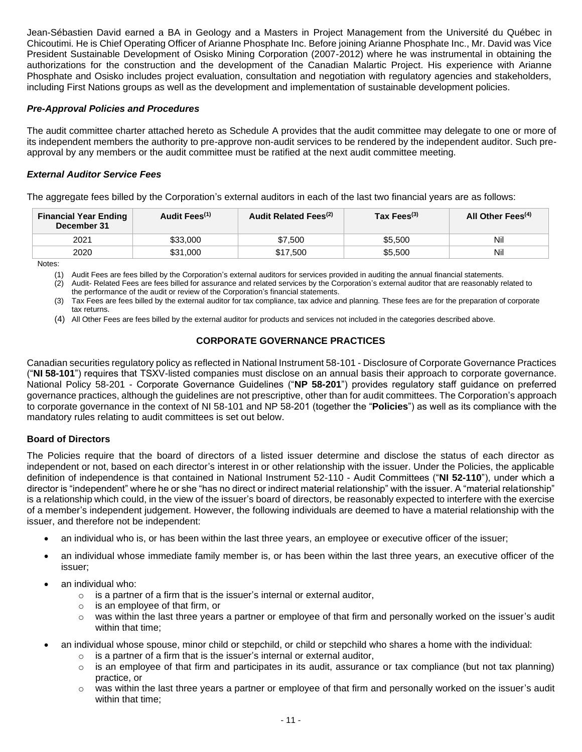Jean-Sébastien David earned a BA in Geology and a Masters in Project Management from the Université du Québec in Chicoutimi. He is Chief Operating Officer of Arianne Phosphate Inc. Before joining Arianne Phosphate Inc., Mr. David was Vice President Sustainable Development of Osisko Mining Corporation (2007-2012) where he was instrumental in obtaining the authorizations for the construction and the development of the Canadian Malartic Project. His experience with Arianne Phosphate and Osisko includes project evaluation, consultation and negotiation with regulatory agencies and stakeholders, including First Nations groups as well as the development and implementation of sustainable development policies.

## *Pre-Approval Policies and Procedures*

The audit committee charter attached hereto as Schedule A provides that the audit committee may delegate to one or more of its independent members the authority to pre-approve non-audit services to be rendered by the independent auditor. Such preapproval by any members or the audit committee must be ratified at the next audit committee meeting.

## *External Auditor Service Fees*

The aggregate fees billed by the Corporation's external auditors in each of the last two financial years are as follows:

| <b>Financial Year Ending</b><br>December 31 | Audit Fees <sup>(1)</sup> | Audit Related Fees <sup>(2)</sup> | Tax Fees $(3)$ | All Other Fees <sup>(4)</sup> |
|---------------------------------------------|---------------------------|-----------------------------------|----------------|-------------------------------|
| 2021                                        | \$33.000                  | \$7.500                           | \$5.500        | Nil                           |
| 2020                                        | \$31,000                  | \$17,500                          | \$5,500        | Nil                           |

Notes:

(1) Audit Fees are fees billed by the Corporation's external auditors for services provided in auditing the annual financial statements.

(2) Audit- Related Fees are fees billed for assurance and related services by the Corporation's external auditor that are reasonably related to the performance of the audit or review of the Corporation's financial statements.

(3) Tax Fees are fees billed by the external auditor for tax compliance, tax advice and planning. These fees are for the preparation of corporate tax returns.

(4) All Other Fees are fees billed by the external auditor for products and services not included in the categories described above.

## **CORPORATE GOVERNANCE PRACTICES**

Canadian securities regulatory policy as reflected in National Instrument 58-101 - Disclosure of Corporate Governance Practices ("**NI 58-101**") requires that TSXV-listed companies must disclose on an annual basis their approach to corporate governance. National Policy 58-201 - Corporate Governance Guidelines ("**NP 58-201**") provides regulatory staff guidance on preferred governance practices, although the guidelines are not prescriptive, other than for audit committees. The Corporation's approach to corporate governance in the context of NI 58-101 and NP 58-201 (together the "**Policies**") as well as its compliance with the mandatory rules relating to audit committees is set out below.

#### **Board of Directors**

The Policies require that the board of directors of a listed issuer determine and disclose the status of each director as independent or not, based on each director's interest in or other relationship with the issuer. Under the Policies, the applicable definition of independence is that contained in National Instrument 52-110 - Audit Committees ("**NI 52-110**"), under which a director is "independent" where he or she "has no direct or indirect material relationship" with the issuer. A "material relationship" is a relationship which could, in the view of the issuer's board of directors, be reasonably expected to interfere with the exercise of a member's independent judgement. However, the following individuals are deemed to have a material relationship with the issuer, and therefore not be independent:

- an individual who is, or has been within the last three years, an employee or executive officer of the issuer;
- an individual whose immediate family member is, or has been within the last three years, an executive officer of the issuer;
- an individual who:
	- $\circ$  is a partner of a firm that is the issuer's internal or external auditor,
	- o is an employee of that firm, or
	- $\circ$  was within the last three years a partner or employee of that firm and personally worked on the issuer's audit within that time;
- an individual whose spouse, minor child or stepchild, or child or stepchild who shares a home with the individual:
	- o is a partner of a firm that is the issuer's internal or external auditor,
	- $\circ$  is an employee of that firm and participates in its audit, assurance or tax compliance (but not tax planning) practice, or
	- $\circ$  was within the last three years a partner or employee of that firm and personally worked on the issuer's audit within that time;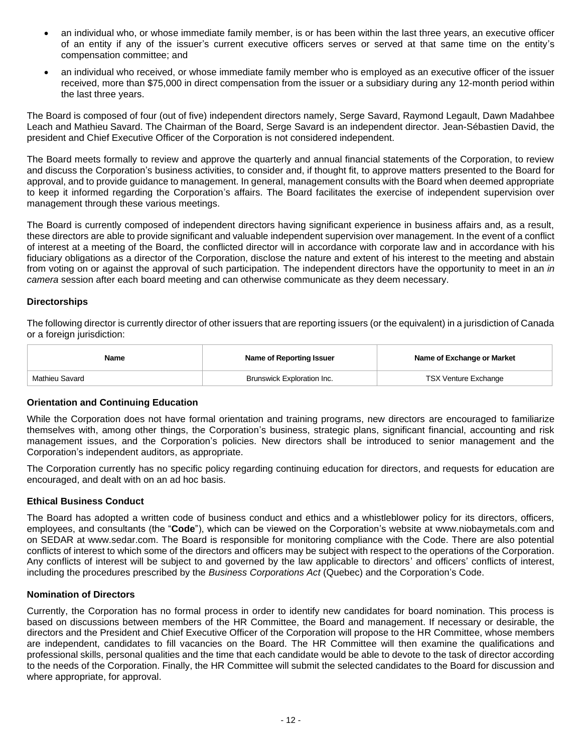- an individual who, or whose immediate family member, is or has been within the last three years, an executive officer of an entity if any of the issuer's current executive officers serves or served at that same time on the entity's compensation committee; and
- an individual who received, or whose immediate family member who is employed as an executive officer of the issuer received, more than \$75,000 in direct compensation from the issuer or a subsidiary during any 12-month period within the last three years.

The Board is composed of four (out of five) independent directors namely, Serge Savard, Raymond Legault, Dawn Madahbee Leach and Mathieu Savard. The Chairman of the Board, Serge Savard is an independent director. Jean-Sébastien David, the president and Chief Executive Officer of the Corporation is not considered independent.

The Board meets formally to review and approve the quarterly and annual financial statements of the Corporation, to review and discuss the Corporation's business activities, to consider and, if thought fit, to approve matters presented to the Board for approval, and to provide guidance to management. In general, management consults with the Board when deemed appropriate to keep it informed regarding the Corporation's affairs. The Board facilitates the exercise of independent supervision over management through these various meetings.

The Board is currently composed of independent directors having significant experience in business affairs and, as a result, these directors are able to provide significant and valuable independent supervision over management. In the event of a conflict of interest at a meeting of the Board, the conflicted director will in accordance with corporate law and in accordance with his fiduciary obligations as a director of the Corporation, disclose the nature and extent of his interest to the meeting and abstain from voting on or against the approval of such participation. The independent directors have the opportunity to meet in an *in camera* session after each board meeting and can otherwise communicate as they deem necessary.

#### **Directorships**

The following director is currently director of other issuers that are reporting issuers (or the equivalent) in a jurisdiction of Canada or a foreign jurisdiction:

| Name           | Name of Reporting Issuer   | Name of Exchange or Market |
|----------------|----------------------------|----------------------------|
| Mathieu Savard | Brunswick Exploration Inc. | TSX Venture Exchange       |

#### **Orientation and Continuing Education**

While the Corporation does not have formal orientation and training programs, new directors are encouraged to familiarize themselves with, among other things, the Corporation's business, strategic plans, significant financial, accounting and risk management issues, and the Corporation's policies. New directors shall be introduced to senior management and the Corporation's independent auditors, as appropriate.

The Corporation currently has no specific policy regarding continuing education for directors, and requests for education are encouraged, and dealt with on an ad hoc basis.

#### **Ethical Business Conduct**

The Board has adopted a written code of business conduct and ethics and a whistleblower policy for its directors, officers, employees, and consultants (the "**Code**"), which can be viewed on the Corporation's website at www.niobaymetals.com and on SEDAR at www.sedar.com. The Board is responsible for monitoring compliance with the Code. There are also potential conflicts of interest to which some of the directors and officers may be subject with respect to the operations of the Corporation. Any conflicts of interest will be subject to and governed by the law applicable to directors' and officers' conflicts of interest, including the procedures prescribed by the *Business Corporations Act* (Quebec) and the Corporation's Code.

#### **Nomination of Directors**

Currently, the Corporation has no formal process in order to identify new candidates for board nomination. This process is based on discussions between members of the HR Committee, the Board and management. If necessary or desirable, the directors and the President and Chief Executive Officer of the Corporation will propose to the HR Committee, whose members are independent, candidates to fill vacancies on the Board. The HR Committee will then examine the qualifications and professional skills, personal qualities and the time that each candidate would be able to devote to the task of director according to the needs of the Corporation. Finally, the HR Committee will submit the selected candidates to the Board for discussion and where appropriate, for approval.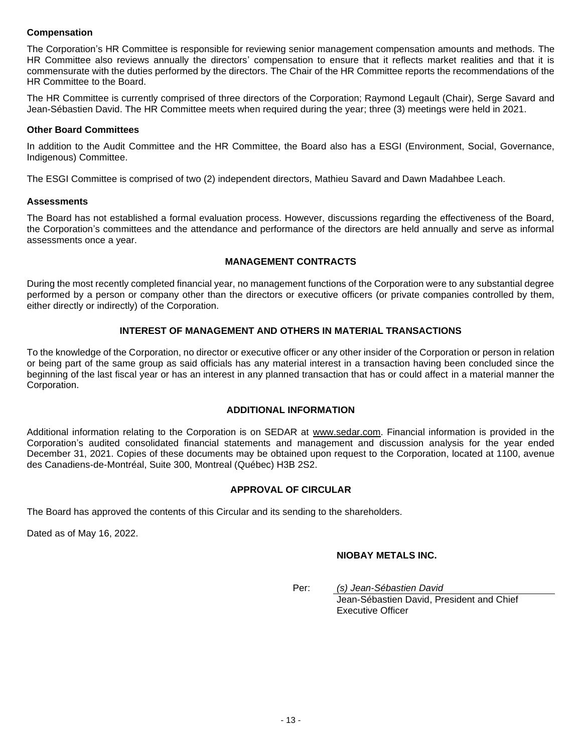## **Compensation**

The Corporation's HR Committee is responsible for reviewing senior management compensation amounts and methods. The HR Committee also reviews annually the directors' compensation to ensure that it reflects market realities and that it is commensurate with the duties performed by the directors. The Chair of the HR Committee reports the recommendations of the HR Committee to the Board.

The HR Committee is currently comprised of three directors of the Corporation; Raymond Legault (Chair), Serge Savard and Jean-Sébastien David. The HR Committee meets when required during the year; three (3) meetings were held in 2021.

#### **Other Board Committees**

In addition to the Audit Committee and the HR Committee, the Board also has a ESGI (Environment, Social, Governance, Indigenous) Committee.

The ESGI Committee is comprised of two (2) independent directors, Mathieu Savard and Dawn Madahbee Leach.

#### **Assessments**

The Board has not established a formal evaluation process. However, discussions regarding the effectiveness of the Board, the Corporation's committees and the attendance and performance of the directors are held annually and serve as informal assessments once a year.

## **MANAGEMENT CONTRACTS**

During the most recently completed financial year, no management functions of the Corporation were to any substantial degree performed by a person or company other than the directors or executive officers (or private companies controlled by them, either directly or indirectly) of the Corporation.

## **INTEREST OF MANAGEMENT AND OTHERS IN MATERIAL TRANSACTIONS**

To the knowledge of the Corporation, no director or executive officer or any other insider of the Corporation or person in relation or being part of the same group as said officials has any material interest in a transaction having been concluded since the beginning of the last fiscal year or has an interest in any planned transaction that has or could affect in a material manner the Corporation.

#### **ADDITIONAL INFORMATION**

Additional information relating to the Corporation is on SEDAR at [www.sedar.com.](http://www.sedar.com/) Financial information is provided in the Corporation's audited consolidated financial statements and management and discussion analysis for the year ended December 31, 2021. Copies of these documents may be obtained upon request to the Corporation, located at 1100, avenue des Canadiens-de-Montréal, Suite 300, Montreal (Québec) H3B 2S2.

#### **APPROVAL OF CIRCULAR**

The Board has approved the contents of this Circular and its sending to the shareholders.

Dated as of May 16, 2022.

## **NIOBAY METALS INC.**

Per: *(s) Jean-Sébastien David* Jean-Sébastien David, President and Chief Executive Officer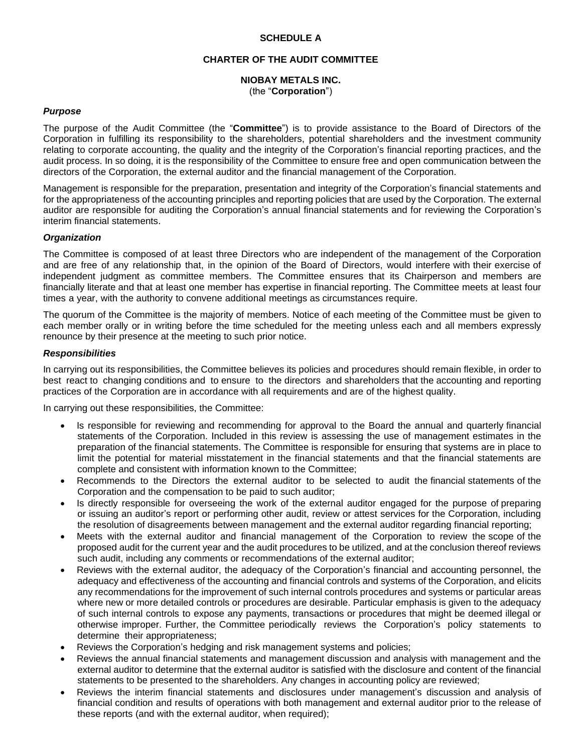## **SCHEDULE A**

## **CHARTER OF THE AUDIT COMMITTEE**

## **NIOBAY METALS INC.**  (the "**Corporation**")

#### *Purpose*

The purpose of the Audit Committee (the "**Committee**") is to provide assistance to the Board of Directors of the Corporation in fulfilling its responsibility to the shareholders, potential shareholders and the investment community relating to corporate accounting, the quality and the integrity of the Corporation's financial reporting practices, and the audit process. In so doing, it is the responsibility of the Committee to ensure free and open communication between the directors of the Corporation, the external auditor and the financial management of the Corporation.

Management is responsible for the preparation, presentation and integrity of the Corporation's financial statements and for the appropriateness of the accounting principles and reporting policies that are used by the Corporation. The external auditor are responsible for auditing the Corporation's annual financial statements and for reviewing the Corporation's interim financial statements.

#### *Organization*

The Committee is composed of at least three Directors who are independent of the management of the Corporation and are free of any relationship that, in the opinion of the Board of Directors, would interfere with their exercise of independent judgment as committee members. The Committee ensures that its Chairperson and members are financially literate and that at least one member has expertise in financial reporting. The Committee meets at least four times a year, with the authority to convene additional meetings as circumstances require.

The quorum of the Committee is the majority of members. Notice of each meeting of the Committee must be given to each member orally or in writing before the time scheduled for the meeting unless each and all members expressly renounce by their presence at the meeting to such prior notice.

#### *Responsibilities*

In carrying out its responsibilities, the Committee believes its policies and procedures should remain flexible, in order to best react to changing conditions and to ensure to the directors and shareholders that the accounting and reporting practices of the Corporation are in accordance with all requirements and are of the highest quality.

In carrying out these responsibilities, the Committee:

- Is responsible for reviewing and recommending for approval to the Board the annual and quarterly financial statements of the Corporation. Included in this review is assessing the use of management estimates in the preparation of the financial statements. The Committee is responsible for ensuring that systems are in place to limit the potential for material misstatement in the financial statements and that the financial statements are complete and consistent with information known to the Committee;
- Recommends to the Directors the external auditor to be selected to audit the financial statements of the Corporation and the compensation to be paid to such auditor;
- Is directly responsible for overseeing the work of the external auditor engaged for the purpose of preparing or issuing an auditor's report or performing other audit, review or attest services for the Corporation, including the resolution of disagreements between management and the external auditor regarding financial reporting;
- Meets with the external auditor and financial management of the Corporation to review the scope of the proposed audit for the current year and the audit procedures to be utilized, and at the conclusion thereof reviews such audit, including any comments or recommendations of the external auditor;
- Reviews with the external auditor, the adequacy of the Corporation's financial and accounting personnel, the adequacy and effectiveness of the accounting and financial controls and systems of the Corporation, and elicits any recommendations for the improvement of such internal controls procedures and systems or particular areas where new or more detailed controls or procedures are desirable. Particular emphasis is given to the adequacy of such internal controls to expose any payments, transactions or procedures that might be deemed illegal or otherwise improper. Further, the Committee periodically reviews the Corporation's policy statements to determine their appropriateness;
- Reviews the Corporation's hedging and risk management systems and policies;
- Reviews the annual financial statements and management discussion and analysis with management and the external auditor to determine that the external auditor is satisfied with the disclosure and content of the financial statements to be presented to the shareholders. Any changes in accounting policy are reviewed;
- Reviews the interim financial statements and disclosures under management's discussion and analysis of financial condition and results of operations with both management and external auditor prior to the release of these reports (and with the external auditor, when required);